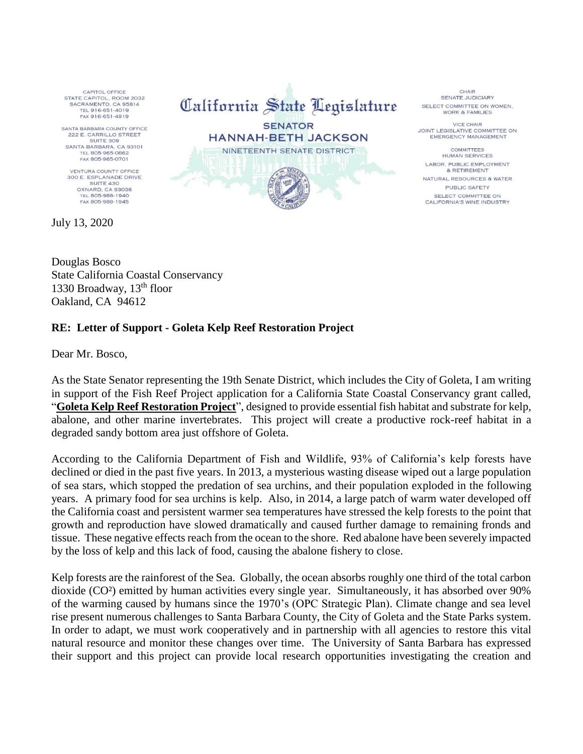CAPITOL OFFICE STATE CAPITOL, ROOM 2032 SACRAMENTO, CA 95814 TEL 916-651-4019 FAX 916-651-4919

SANTA BARBARA COUNTY OFFICE 222 E. CARRILLO STREET SUITE 309<br>SANTA BARBARA, CA 93101 TEL 805-965-0862

**VENTURA COUNTY OFFICE** 300 E. ESPLANADE DRIVE SUITE 430 OXNARD, CA 93036 TEL 805-988-1940

July 13, 2020

California State Legislature **SENATOR HANNAH-BETH JACKSON** NINETEENTH SENATE DISTRICT

**CHAIR** SENATE JUDICIARY SELECT COMMITTEE ON WOMEN. **WORK & FAMILIES** 

**VICE CHAIR** JOINT LEGISLATIVE COMMITTEE ON **EMERGENCY MANAGEMENT** 

COMMITTEES **HUMAN SERVICES** LABOR, PUBLIC EMPLOYMENT & RETIREMENT NATURAL RESOURCES & WATER PUBLIC SAFETY SELECT COMMITTEE ON CALIFORNIA'S WINE INDUSTRY

Douglas Bosco State California Coastal Conservancy 1330 Broadway,  $13<sup>th</sup>$  floor Oakland, CA 94612

## **RE: Letter of Support - Goleta Kelp Reef Restoration Project**

Dear Mr. Bosco,

As the State Senator representing the 19th Senate District, which includes the City of Goleta, I am writing in support of the Fish Reef Project application for a California State Coastal Conservancy grant called, "**Goleta Kelp Reef Restoration Project**", designed to provide essential fish habitat and substrate for kelp, abalone, and other marine invertebrates. This project will create a productive rock-reef habitat in a degraded sandy bottom area just offshore of Goleta.

According to the California Department of Fish and Wildlife, 93% of California's kelp forests have declined or died in the past five years. In 2013, a mysterious wasting disease wiped out a large population of sea stars, which stopped the predation of sea urchins, and their population exploded in the following years. A primary food for sea urchins is kelp. Also, in 2014, a large patch of warm water developed off the California coast and persistent warmer sea temperatures have stressed the kelp forests to the point that growth and reproduction have slowed dramatically and caused further damage to remaining fronds and tissue. These negative effects reach from the ocean to the shore. Red abalone have been severely impacted by the loss of kelp and this lack of food, causing the abalone fishery to close.

Kelp forests are the rainforest of the Sea. Globally, the ocean absorbs roughly one third of the total carbon dioxide (CO²) emitted by human activities every single year. Simultaneously, it has absorbed over 90% of the warming caused by humans since the 1970's (OPC Strategic Plan). Climate change and sea level rise present numerous challenges to Santa Barbara County, the City of Goleta and the State Parks system. In order to adapt, we must work cooperatively and in partnership with all agencies to restore this vital natural resource and monitor these changes over time. The University of Santa Barbara has expressed their support and this project can provide local research opportunities investigating the creation and